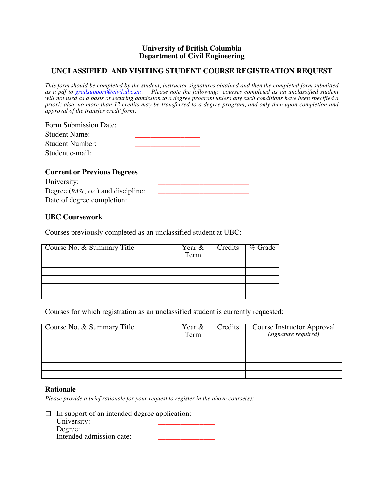#### **University of British Columbia Department of Civil Engineering**

# **UNCLASSIFIED AND VISITING STUDENT COURSE REGISTRATION REQUEST**

*This form should be completed by the student, instructor signatures obtained and then the completed form submitted as a pdf to gradsupport@civil.ubc.ca. Please note the following: courses completed as an unclassified student will not used as a basis of securing admission to a degree program unless any such conditions have been specified a priori; also, no more than 12 credits may be transferred to a degree program, and only then upon completion and approval of the transfer credit form.*

#### **Current or Previous Degrees**

| University:                                          |  |
|------------------------------------------------------|--|
| Degree ( <i>BASc</i> , <i>etc</i> .) and discipline: |  |
| Date of degree completion:                           |  |

## **UBC Coursework**

Courses previously completed as an unclassified student at UBC:

| Course No. & Summary Title | Year &<br>Term | Credits   % Grade |
|----------------------------|----------------|-------------------|
|                            |                |                   |
|                            |                |                   |
|                            |                |                   |
|                            |                |                   |
|                            |                |                   |

Courses for which registration as an unclassified student is currently requested:

| Course No. & Summary Title | Year &<br>Term | Credits | Course Instructor Approval<br>(signature required) |
|----------------------------|----------------|---------|----------------------------------------------------|
|                            |                |         |                                                    |
|                            |                |         |                                                    |
|                            |                |         |                                                    |
|                            |                |         |                                                    |
|                            |                |         |                                                    |

### **Rationale**

*Please provide a brief rationale for your request to register in the above course(s):*

 $\Box$  In support of an intended degree application: University: \_\_\_\_\_\_\_\_\_\_\_\_\_\_\_ Intended admission date: